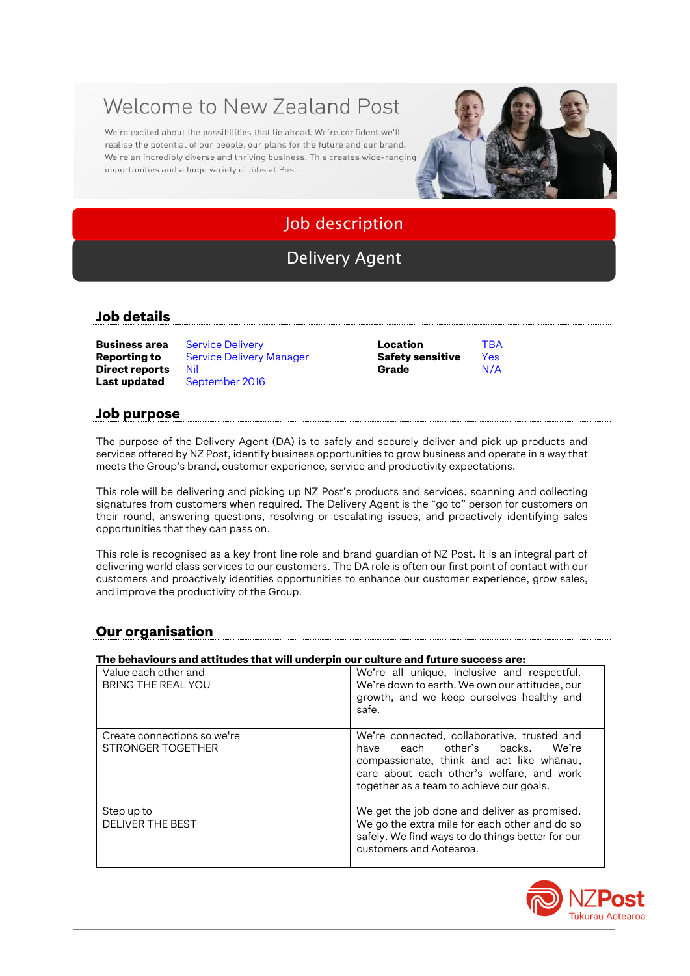# Welcome to New Zealand Post

We're excited about the possibilities that lie ahead. We're confident we'll realise the potential of our people, our plans for the future and our brand. We're an incredibly diverse and thriving business. This creates wide-ranging opportunities and a huge variety of jobs at Post.



## Job description

## Delivery Agent

#### **Job details**

| Business area  | <b>Service Delivery</b>         | Location                | TBA  |
|----------------|---------------------------------|-------------------------|------|
| Reporting to   | <b>Service Delivery Manager</b> | <b>Safety sensitive</b> | Yes: |
| Direct reports | Nil                             | Grade                   | N/A  |
| Last updated   | September 2016                  |                         |      |

| Location                | ТB  |
|-------------------------|-----|
| <b>Safety sensitive</b> | Ye: |
| Grade                   | N/  |

#### **Job purpose**

The purpose of the Delivery Agent (DA) is to safely and securely deliver and pick up products and services offered by NZ Post, identify business opportunities to grow business and operate in a way that meets the Group's brand, customer experience, service and productivity expectations.

This role will be delivering and picking up NZ Post's products and services, scanning and collecting signatures from customers when required. The Delivery Agent is the "go to" person for customers on their round, answering questions, resolving or escalating issues, and proactively identifying sales opportunities that they can pass on.

This role is recognised as a key front line role and brand guardian of NZ Post. It is an integral part of delivering world class services to our customers. The DA role is often our first point of contact with our customers and proactively identifies opportunities to enhance our customer experience, grow sales, and improve the productivity of the Group.

### **Our organisation**

#### **The behaviours and attitudes that will underpin our culture and future success are:**

| Value each other and<br>BRING THE REAL YOU       | We're all unique, inclusive and respectful.<br>We're down to earth. We own our attitudes, our<br>growth, and we keep ourselves healthy and<br>safe.                                                                       |
|--------------------------------------------------|---------------------------------------------------------------------------------------------------------------------------------------------------------------------------------------------------------------------------|
| Create connections so we're<br>STRONGER TOGETHER | We're connected, collaborative, trusted and<br>each other's backs.<br>We're<br>have<br>compassionate, think and act like whanau,<br>care about each other's welfare, and work<br>together as a team to achieve our goals. |
| Step up to<br><b>DELIVER THE BEST</b>            | We get the job done and deliver as promised.<br>We go the extra mile for each other and do so<br>safely. We find ways to do things better for our<br>customers and Aotearoa.                                              |

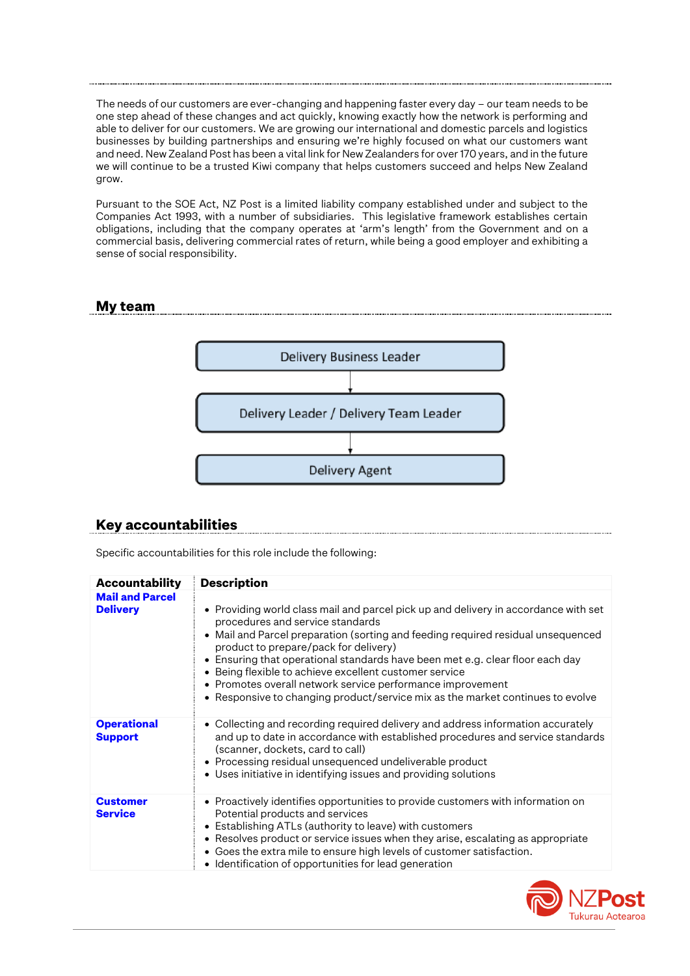The needs of our customers are ever-changing and happening faster every day – our team needs to be one step ahead of these changes and act quickly, knowing exactly how the network is performing and able to deliver for our customers. We are growing our international and domestic parcels and logistics businesses by building partnerships and ensuring we're highly focused on what our customers want and need. New Zealand Post has been a vital link for New Zealanders for over 170 years, and in the future we will continue to be a trusted Kiwi company that helps customers succeed and helps New Zealand grow.

Pursuant to the SOE Act, NZ Post is a limited liability company established under and subject to the Companies Act 1993, with a number of subsidiaries. This legislative framework establishes certain obligations, including that the company operates at 'arm's length' from the Government and on a commercial basis, delivering commercial rates of return, while being a good employer and exhibiting a sense of social responsibility.

#### **My team**



#### **Key accountabilities**

Specific accountabilities for this role include the following:

| <b>Accountability</b>                     | <b>Description</b>                                                                                                                                                                                                                                                                                                                                                                                                                                                                                                                              |
|-------------------------------------------|-------------------------------------------------------------------------------------------------------------------------------------------------------------------------------------------------------------------------------------------------------------------------------------------------------------------------------------------------------------------------------------------------------------------------------------------------------------------------------------------------------------------------------------------------|
| <b>Mail and Parcel</b><br><b>Delivery</b> | • Providing world class mail and parcel pick up and delivery in accordance with set<br>procedures and service standards<br>• Mail and Parcel preparation (sorting and feeding required residual unsequenced<br>product to prepare/pack for delivery)<br>• Ensuring that operational standards have been met e.g. clear floor each day<br>• Being flexible to achieve excellent customer service<br>• Promotes overall network service performance improvement<br>• Responsive to changing product/service mix as the market continues to evolve |
| <b>Operational</b><br><b>Support</b>      | • Collecting and recording required delivery and address information accurately<br>and up to date in accordance with established procedures and service standards<br>(scanner, dockets, card to call)<br>• Processing residual unsequenced undeliverable product<br>• Uses initiative in identifying issues and providing solutions                                                                                                                                                                                                             |
| <b>Customer</b><br><b>Service</b>         | • Proactively identifies opportunities to provide customers with information on<br>Potential products and services<br>• Establishing ATLs (authority to leave) with customers<br>• Resolves product or service issues when they arise, escalating as appropriate<br>• Goes the extra mile to ensure high levels of customer satisfaction.<br>• Identification of opportunities for lead generation                                                                                                                                              |

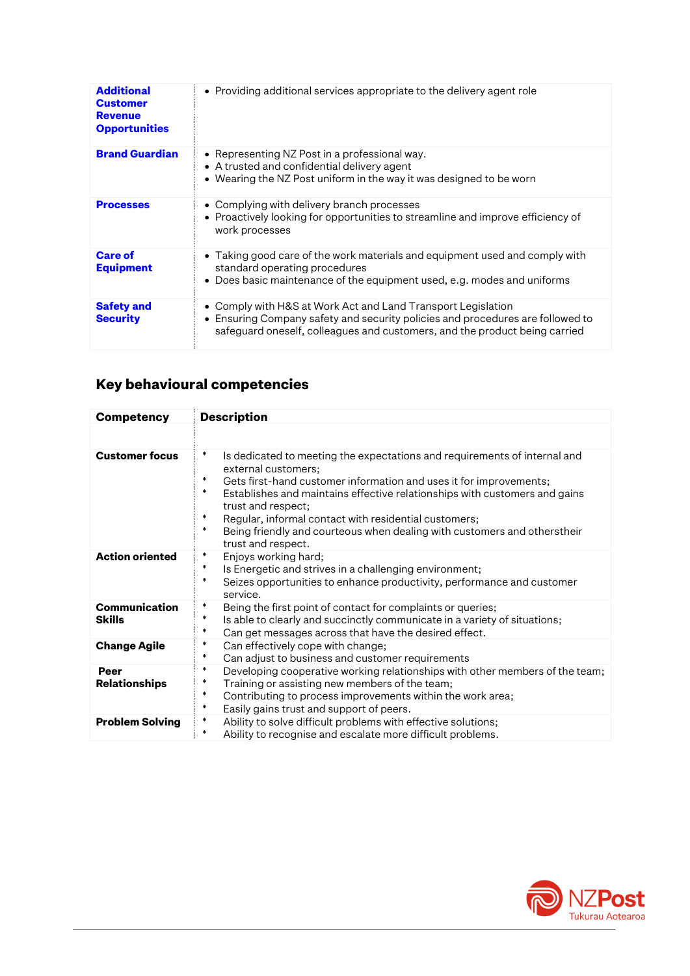| <b>Additional</b><br><b>Customer</b><br><b>Revenue</b><br><b>Opportunities</b> | • Providing additional services appropriate to the delivery agent role                                                                                                                                                       |
|--------------------------------------------------------------------------------|------------------------------------------------------------------------------------------------------------------------------------------------------------------------------------------------------------------------------|
| <b>Brand Guardian</b>                                                          | • Representing NZ Post in a professional way.<br>• A trusted and confidential delivery agent<br>• Wearing the NZ Post uniform in the way it was designed to be worn                                                          |
| <b>Processes</b>                                                               | • Complying with delivery branch processes<br>• Proactively looking for opportunities to streamline and improve efficiency of<br>work processes                                                                              |
| <b>Care of</b><br><b>Equipment</b>                                             | • Taking good care of the work materials and equipment used and comply with<br>standard operating procedures<br>• Does basic maintenance of the equipment used, e.g. modes and uniforms                                      |
| <b>Safety and</b><br><b>Security</b>                                           | • Comply with H&S at Work Act and Land Transport Legislation<br>• Ensuring Company safety and security policies and procedures are followed to<br>safeguard oneself, colleagues and customers, and the product being carried |

## **Key behavioural competencies**

| <b>Competency</b>              | <b>Description</b>                                                                                                                                                                                                                                                                                                                                                                                                                                                            |  |
|--------------------------------|-------------------------------------------------------------------------------------------------------------------------------------------------------------------------------------------------------------------------------------------------------------------------------------------------------------------------------------------------------------------------------------------------------------------------------------------------------------------------------|--|
|                                |                                                                                                                                                                                                                                                                                                                                                                                                                                                                               |  |
| <b>Customer focus</b>          | $\ast$<br>Is dedicated to meeting the expectations and requirements of internal and<br>external customers;<br>∗<br>Gets first-hand customer information and uses it for improvements;<br>*<br>Establishes and maintains effective relationships with customers and gains<br>trust and respect;<br>$\ast$<br>Regular, informal contact with residential customers;<br>$\ast$<br>Being friendly and courteous when dealing with customers and otherstheir<br>trust and respect. |  |
| <b>Action oriented</b>         | ∗<br>Enjoys working hard;<br>$\ast$<br>Is Energetic and strives in a challenging environment;<br>∗<br>Seizes opportunities to enhance productivity, performance and customer<br>service.                                                                                                                                                                                                                                                                                      |  |
| Communication<br><b>Skills</b> | $\ast$<br>Being the first point of contact for complaints or queries;<br>$\ast$<br>Is able to clearly and succinctly communicate in a variety of situations;<br>$\ast$<br>Can get messages across that have the desired effect.                                                                                                                                                                                                                                               |  |
| <b>Change Agile</b>            | $\ast$<br>Can effectively cope with change;<br>$\ast$<br>Can adjust to business and customer requirements                                                                                                                                                                                                                                                                                                                                                                     |  |
| Peer<br><b>Relationships</b>   | *<br>Developing cooperative working relationships with other members of the team;<br>$\ast$<br>Training or assisting new members of the team;<br>$\ast$<br>Contributing to process improvements within the work area;<br>$\ast$<br>Easily gains trust and support of peers.                                                                                                                                                                                                   |  |
| <b>Problem Solving</b>         | $\ast$<br>Ability to solve difficult problems with effective solutions;<br>$\ast$<br>Ability to recognise and escalate more difficult problems.                                                                                                                                                                                                                                                                                                                               |  |